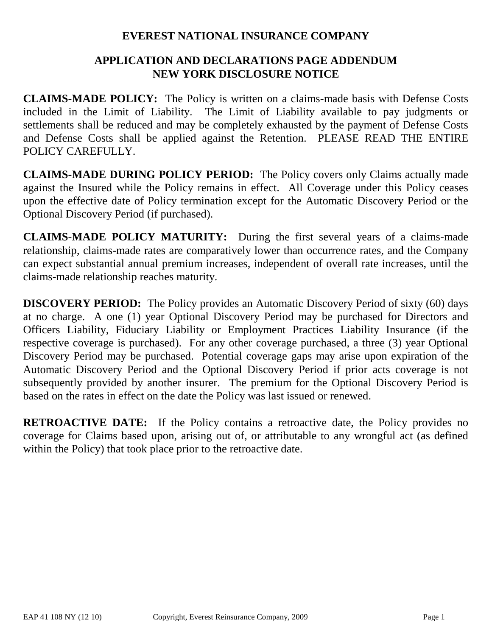## **EVEREST NATIONAL INSURANCE COMPANY**

# **APPLICATION AND DECLARATIONS PAGE ADDENDUM NEW YORK DISCLOSURE NOTICE**

**CLAIMS-MADE POLICY:** The Policy is written on a claims-made basis with Defense Costs included in the Limit of Liability. The Limit of Liability available to pay judgments or settlements shall be reduced and may be completely exhausted by the payment of Defense Costs and Defense Costs shall be applied against the Retention. PLEASE READ THE ENTIRE POLICY CAREFULLY.

**CLAIMS-MADE DURING POLICY PERIOD:** The Policy covers only Claims actually made against the Insured while the Policy remains in effect. All Coverage under this Policy ceases upon the effective date of Policy termination except for the Automatic Discovery Period or the Optional Discovery Period (if purchased).

**CLAIMS-MADE POLICY MATURITY:** During the first several years of a claims-made relationship, claims-made rates are comparatively lower than occurrence rates, and the Company can expect substantial annual premium increases, independent of overall rate increases, until the claims-made relationship reaches maturity.

**DISCOVERY PERIOD:** The Policy provides an Automatic Discovery Period of sixty (60) days at no charge. A one (1) year Optional Discovery Period may be purchased for Directors and Officers Liability, Fiduciary Liability or Employment Practices Liability Insurance (if the respective coverage is purchased). For any other coverage purchased, a three (3) year Optional Discovery Period may be purchased. Potential coverage gaps may arise upon expiration of the Automatic Discovery Period and the Optional Discovery Period if prior acts coverage is not subsequently provided by another insurer. The premium for the Optional Discovery Period is based on the rates in effect on the date the Policy was last issued or renewed.

**RETROACTIVE DATE:** If the Policy contains a retroactive date, the Policy provides no coverage for Claims based upon, arising out of, or attributable to any wrongful act (as defined within the Policy) that took place prior to the retroactive date.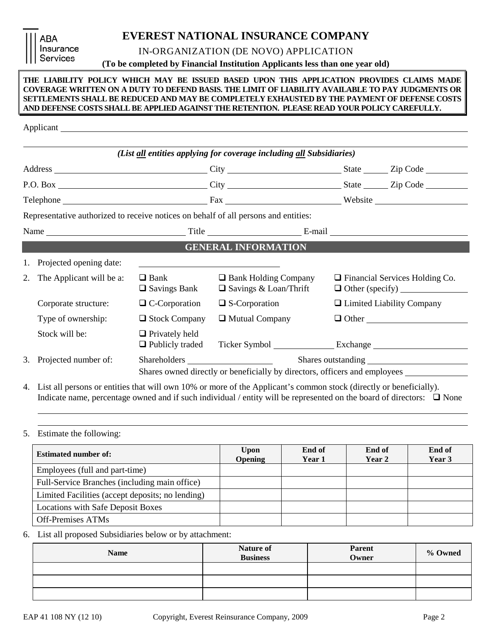ARA Insurance **Services** 

**EVEREST NATIONAL INSURANCE COMPANY**

IN-ORGANIZATION (DE NOVO) APPLICATION

**(To be completed by Financial Institution Applicants less than one year old)**

### **THE LIABILITY POLICY WHICH MAY BE ISSUED BASED UPON THIS APPLICATION PROVIDES CLAIMS MADE COVERAGE WRITTEN ON A DUTY TO DEFEND BASIS. THE LIMIT OF LIABILITY AVAILABLE TO PAY JUDGMENTS OR SETTLEMENTS SHALL BE REDUCED AND MAY BE COMPLETELY EXHAUSTED BY THE PAYMENT OF DEFENSE COSTS AND DEFENSE COSTS SHALL BE APPLIED AGAINST THE RETENTION. PLEASE READ YOUR POLICY CAREFULLY.**

|    |                          |                                                 | (List all entities applying for coverage including all Subsidiaries)                   |  |                                       |
|----|--------------------------|-------------------------------------------------|----------------------------------------------------------------------------------------|--|---------------------------------------|
|    |                          |                                                 |                                                                                        |  |                                       |
|    |                          |                                                 |                                                                                        |  |                                       |
|    |                          |                                                 |                                                                                        |  |                                       |
|    |                          |                                                 | Representative authorized to receive notices on behalf of all persons and entities:    |  |                                       |
|    |                          |                                                 |                                                                                        |  |                                       |
|    |                          |                                                 | <b>GENERAL INFORMATION</b>                                                             |  |                                       |
|    | Projected opening date:  |                                                 |                                                                                        |  |                                       |
| 2. | The Applicant will be a: | $\Box$ Bank<br>$\Box$ Savings Bank              | $\Box$ Bank Holding Company<br>$\Box$ Savings & Loan/Thrift                            |  | $\Box$ Financial Services Holding Co. |
|    | Corporate structure:     | $\Box$ C-Corporation                            | $\square$ S-Corporation                                                                |  | □ Limited Liability Company           |
|    | Type of ownership:       | $\Box$ Stock Company                            | $\Box$ Mutual Company                                                                  |  |                                       |
|    | Stock will be:           | $\Box$ Privately held<br>$\Box$ Publicly traded |                                                                                        |  |                                       |
| 3. | Projected number of:     |                                                 |                                                                                        |  |                                       |
|    |                          |                                                 | Shares owned directly or beneficially by directors, officers and employees ___________ |  |                                       |

4. List all persons or entities that will own 10% or more of the Applicant's common stock (directly or beneficially). Indicate name, percentage owned and if such individual / entity will be represented on the board of directors:  $\Box$  None

### 5. Estimate the following:

| <b>Estimated number of:</b>                      | <b>Upon</b><br><b>Opening</b> | End of<br>Year 1 | End of<br>Year 2 | End of<br>Year 3 |
|--------------------------------------------------|-------------------------------|------------------|------------------|------------------|
| Employees (full and part-time)                   |                               |                  |                  |                  |
| Full-Service Branches (including main office)    |                               |                  |                  |                  |
| Limited Facilities (accept deposits; no lending) |                               |                  |                  |                  |
| <b>Locations with Safe Deposit Boxes</b>         |                               |                  |                  |                  |
| <b>Off-Premises ATMs</b>                         |                               |                  |                  |                  |

6. List all proposed Subsidiaries below or by attachment:

| <b>Name</b> | Nature of<br><b>Business</b> | <b>Parent</b><br>Owner | % Owned |
|-------------|------------------------------|------------------------|---------|
|             |                              |                        |         |
|             |                              |                        |         |
|             |                              |                        |         |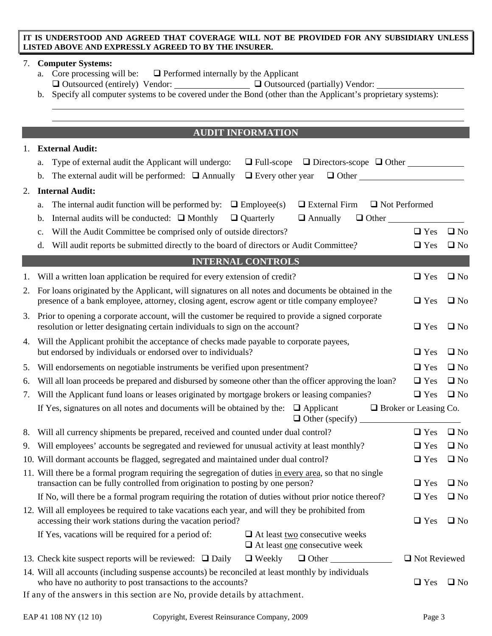## **IT IS UNDERSTOOD AND AGREED THAT COVERAGE WILL NOT BE PROVIDED FOR ANY SUBSIDIARY UNLESS LISTED ABOVE AND EXPRESSLY AGREED TO BY THE INSURER.**

## 7. **Computer Systems:**

- a. Core processing will be:  $\Box$  Performed internally by the Applicant  $\Box$  Outsourced (entirely) Vendor:  $\Box$  Outsourced (partially) Vendor:
- b. Specify all computer systems to be covered under the Bond (other than the Applicant's proprietary systems):

## **AUDIT INFORMATION**

| 1. | <b>External Audit:</b>                                                                                                                                                                                |                              |              |
|----|-------------------------------------------------------------------------------------------------------------------------------------------------------------------------------------------------------|------------------------------|--------------|
|    | $\Box$ Full-scope $\Box$ Directors-scope $\Box$ Other<br>Type of external audit the Applicant will undergo:<br>a.                                                                                     |                              |              |
|    | $\Box$ Every other year<br>$\Box$ Other<br>The external audit will be performed: $\Box$ Annually<br>b.                                                                                                |                              |              |
| 2. | <b>Internal Audit:</b>                                                                                                                                                                                |                              |              |
|    | $\Box$ Employee(s)<br>$\Box$ External Firm<br>$\Box$ Not Performed<br>The internal audit function will be performed by:<br>a.                                                                         |                              |              |
|    | Internal audits will be conducted: $\Box$ Monthly<br>$\Box$ Quarterly<br>$\Box$ Annually<br>$\Box$ Other<br>b.                                                                                        |                              |              |
|    | Will the Audit Committee be comprised only of outside directors?<br>c.                                                                                                                                | $\Box$ Yes                   | $\square$ No |
|    | Will audit reports be submitted directly to the board of directors or Audit Committee?<br>d.                                                                                                          | $\Box$ Yes                   | $\square$ No |
|    | <b>INTERNAL CONTROLS</b>                                                                                                                                                                              |                              |              |
| 1. | Will a written loan application be required for every extension of credit?                                                                                                                            | $\Box$ Yes                   | $\square$ No |
| 2. | For loans originated by the Applicant, will signatures on all notes and documents be obtained in the<br>presence of a bank employee, attorney, closing agent, escrow agent or title company employee? |                              |              |
| 3. | Prior to opening a corporate account, will the customer be required to provide a signed corporate<br>resolution or letter designating certain individuals to sign on the account?                     | $\Box$ Yes                   | $\square$ No |
| 4. | Will the Applicant prohibit the acceptance of checks made payable to corporate payees,<br>but endorsed by individuals or endorsed over to individuals?                                                | $\Box$ Yes                   | $\square$ No |
| 5. | Will endorsements on negotiable instruments be verified upon presentment?                                                                                                                             | $\Box$ Yes                   | $\square$ No |
| 6. | Will all loan proceeds be prepared and disbursed by someone other than the officer approving the loan?                                                                                                | $\Box$ Yes                   | $\square$ No |
| 7. | Will the Applicant fund loans or leases originated by mortgage brokers or leasing companies?                                                                                                          | $\Box$ Yes                   | $\square$ No |
|    | If Yes, signatures on all notes and documents will be obtained by the:<br>$\Box$ Applicant<br>$\Box$ Other (specify)                                                                                  | $\Box$ Broker or Leasing Co. |              |
| 8. | Will all currency shipments be prepared, received and counted under dual control?                                                                                                                     | $\Box$ Yes                   | $\square$ No |
| 9. | Will employees' accounts be segregated and reviewed for unusual activity at least monthly?                                                                                                            | $\Box$ Yes                   | $\square$ No |
|    | 10. Will dormant accounts be flagged, segregated and maintained under dual control?                                                                                                                   | $\Box$ Yes                   | $\square$ No |
|    | 11. Will there be a formal program requiring the segregation of duties in every area, so that no single<br>transaction can be fully controlled from origination to posting by one person?             | $\Box$ Yes                   | $\square$ No |
|    | If No, will there be a formal program requiring the rotation of duties without prior notice thereof?                                                                                                  | $\Box$ Yes                   | $\Box$ No    |
|    | 12. Will all employees be required to take vacations each year, and will they be prohibited from<br>accessing their work stations during the vacation period?                                         | $\Box$ Yes                   | $\Box$ No    |
|    | If Yes, vacations will be required for a period of:<br>$\Box$ At least <u>two</u> consecutive weeks<br>$\Box$ At least <u>one</u> consecutive week                                                    |                              |              |
|    | 13. Check kite suspect reports will be reviewed: $\Box$ Daily<br>$\Box$ Weekly<br>$\Box$ Other                                                                                                        | □ Not Reviewed               |              |
|    | 14. Will all accounts (including suspense accounts) be reconciled at least monthly by individuals<br>who have no authority to post transactions to the accounts?                                      | $\Box$ Yes                   | $\square$ No |
|    | If any of the answers in this section are No, provide details by attachment.                                                                                                                          |                              |              |